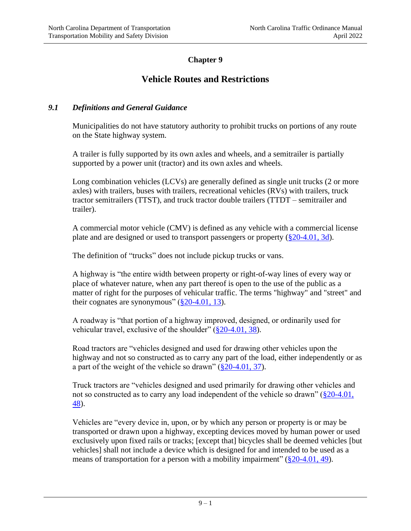## **Chapter 9**

# **Vehicle Routes and Restrictions**

## *9.1 Definitions and General Guidance*

Municipalities do not have statutory authority to prohibit trucks on portions of any route on the State highway system.

A trailer is fully supported by its own axles and wheels, and a semitrailer is partially supported by a power unit (tractor) and its own axles and wheels.

Long combination vehicles (LCVs) are generally defined as single unit trucks (2 or more axles) with trailers, buses with trailers, recreational vehicles (RVs) with trailers, truck tractor semitrailers (TTST), and truck tractor double trailers (TTDT – semitrailer and trailer).

A commercial motor vehicle (CMV) is defined as any vehicle with a commercial license plate and are designed or used to transport passengers or property  $(\frac{8}{20} - 4.01, 3d)$ .

The definition of "trucks" does not include pickup trucks or vans.

A highway is "the entire width between property or right-of-way lines of every way or place of whatever nature, when any part thereof is open to the use of the public as a matter of right for the purposes of vehicular traffic. The terms "highway" and "street" and their cognates are synonymous"  $(\frac{820-4.01}{13})$ .

A roadway is "that portion of a highway improved, designed, or ordinarily used for vehicular travel, exclusive of the shoulder" [\(§20-4.01, 38\)](http://www.ncleg.net/gascripts/statutes/statutelookup.pl?statute=20-4.01).

Road tractors are "vehicles designed and used for drawing other vehicles upon the highway and not so constructed as to carry any part of the load, either independently or as a part of the weight of the vehicle so drawn"  $(\S 20-4.01, 37)$ .

Truck tractors are "vehicles designed and used primarily for drawing other vehicles and not so constructed as to carry any load independent of the vehicle so drawn" [\(§20-4.01,](http://www.ncleg.net/gascripts/statutes/statutelookup.pl?statute=20-4.01)  [48\)](http://www.ncleg.net/gascripts/statutes/statutelookup.pl?statute=20-4.01).

Vehicles are "every device in, upon, or by which any person or property is or may be transported or drawn upon a highway, excepting devices moved by human power or used exclusively upon fixed rails or tracks; [except that] bicycles shall be deemed vehicles [but vehicles] shall not include a device which is designed for and intended to be used as a means of transportation for a person with a mobility impairment" [\(§20-4.01, 49\)](http://www.ncleg.net/gascripts/statutes/statutelookup.pl?statute=20-4.01).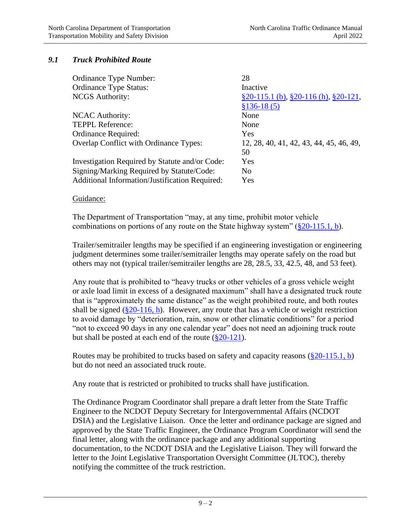## *9.1 Truck Prohibited Route*

| 28                                                |
|---------------------------------------------------|
| Inactive                                          |
| $\S 20-115.1$ (b), $\S 20-116$ (h), $\S 20-121$ , |
| $$136-18(5)$                                      |
| None                                              |
| None                                              |
| Yes                                               |
| 12, 28, 40, 41, 42, 43, 44, 45, 46, 49,           |
| 50                                                |
| Yes                                               |
| N <sub>0</sub>                                    |
| Yes                                               |
|                                                   |

#### Guidance:

The Department of Transportation "may, at any time, prohibit motor vehicle combinations on portions of any route on the State highway system"  $(\S 20-115.1, b)$ .

Trailer/semitrailer lengths may be specified if an engineering investigation or engineering judgment determines some trailer/semitrailer lengths may operate safely on the road but others may not (typical trailer/semitrailer lengths are 28, 28.5, 33, 42.5, 48, and 53 feet).

Any route that is prohibited to "heavy trucks or other vehicles of a gross vehicle weight or axle load limit in excess of a designated maximum" shall have a designated truck route that is "approximately the same distance" as the weight prohibited route, and both routes shall be signed  $(\frac{820-116}{h})$ . However, any route that has a vehicle or weight restriction to avoid damage by "deterioration, rain, snow or other climatic conditions" for a period "not to exceed 90 days in any one calendar year" does not need an adjoining truck route but shall be posted at each end of the route  $(\frac{8}{20} - 121)$ .

Routes may be prohibited to trucks based on safety and capacity reasons  $(\S 20-115.1, b)$ but do not need an associated truck route.

Any route that is restricted or prohibited to trucks shall have justification.

The Ordinance Program Coordinator shall prepare a draft letter from the State Traffic Engineer to the NCDOT Deputy Secretary for Intergovernmental Affairs (NCDOT DSIA) and the Legislative Liaison. Once the letter and ordinance package are signed and approved by the State Traffic Engineer, the Ordinance Program Coordinator will send the final letter, along with the ordinance package and any additional supporting documentation, to the NCDOT DSIA and the Legislative Liaison. They will forward the letter to the Joint Legislative Transportation Oversight Committee (JLTOC), thereby notifying the committee of the truck restriction.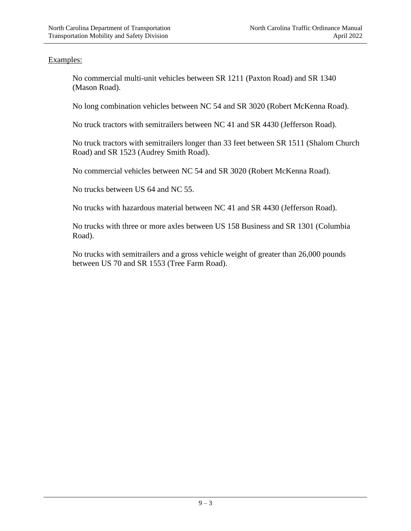## Examples:

No commercial multi-unit vehicles between SR 1211 (Paxton Road) and SR 1340 (Mason Road).

No long combination vehicles between NC 54 and SR 3020 (Robert McKenna Road).

No truck tractors with semitrailers between NC 41 and SR 4430 (Jefferson Road).

No truck tractors with semitrailers longer than 33 feet between SR 1511 (Shalom Church Road) and SR 1523 (Audrey Smith Road).

No commercial vehicles between NC 54 and SR 3020 (Robert McKenna Road).

No trucks between US 64 and NC 55.

No trucks with hazardous material between NC 41 and SR 4430 (Jefferson Road).

No trucks with three or more axles between US 158 Business and SR 1301 (Columbia Road).

No trucks with semitrailers and a gross vehicle weight of greater than 26,000 pounds between US 70 and SR 1553 (Tree Farm Road).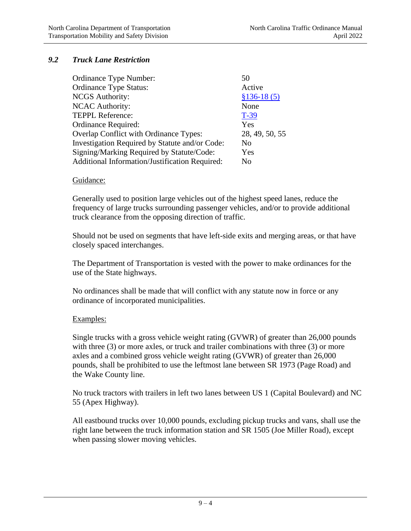## *9.2 Truck Lane Restriction*

| Ordinance Type Number:                         | 50             |
|------------------------------------------------|----------------|
| <b>Ordinance Type Status:</b>                  | Active         |
| <b>NCGS</b> Authority:                         | $$136-18(5)$   |
| <b>NCAC Authority:</b>                         | None           |
| <b>TEPPL Reference:</b>                        | $T-39$         |
| Ordinance Required:                            | Yes            |
| Overlap Conflict with Ordinance Types:         | 28, 49, 50, 55 |
| Investigation Required by Statute and/or Code: | N <sub>0</sub> |
| Signing/Marking Required by Statute/Code:      | Yes            |
| Additional Information/Justification Required: | No             |

#### Guidance:

Generally used to position large vehicles out of the highest speed lanes, reduce the frequency of large trucks surrounding passenger vehicles, and/or to provide additional truck clearance from the opposing direction of traffic.

Should not be used on segments that have left-side exits and merging areas, or that have closely spaced interchanges.

The Department of Transportation is vested with the power to make ordinances for the use of the State highways.

No ordinances shall be made that will conflict with any statute now in force or any ordinance of incorporated municipalities.

### Examples:

Single trucks with a gross vehicle weight rating (GVWR) of greater than 26,000 pounds with three (3) or more axles, or truck and trailer combinations with three (3) or more axles and a combined gross vehicle weight rating (GVWR) of greater than 26,000 pounds, shall be prohibited to use the leftmost lane between SR 1973 (Page Road) and the Wake County line.

No truck tractors with trailers in left two lanes between US 1 (Capital Boulevard) and NC 55 (Apex Highway).

All eastbound trucks over 10,000 pounds, excluding pickup trucks and vans, shall use the right lane between the truck information station and SR 1505 (Joe Miller Road), except when passing slower moving vehicles.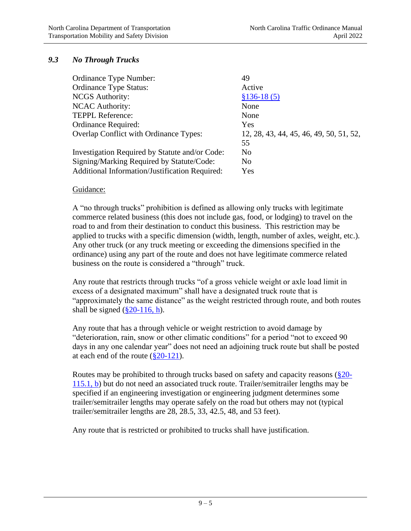## *9.3 No Through Trucks*

| 49                                      |
|-----------------------------------------|
| Active                                  |
| $$136-18(5)$                            |
| None                                    |
| None                                    |
| Yes                                     |
| 12, 28, 43, 44, 45, 46, 49, 50, 51, 52, |
| 55                                      |
| N <sub>0</sub>                          |
| N <sub>0</sub>                          |
| Yes                                     |
|                                         |

### Guidance:

A "no through trucks" prohibition is defined as allowing only trucks with legitimate commerce related business (this does not include gas, food, or lodging) to travel on the road to and from their destination to conduct this business. This restriction may be applied to trucks with a specific dimension (width, length, number of axles, weight, etc.). Any other truck (or any truck meeting or exceeding the dimensions specified in the ordinance) using any part of the route and does not have legitimate commerce related business on the route is considered a "through" truck.

Any route that restricts through trucks "of a gross vehicle weight or axle load limit in excess of a designated maximum" shall have a designated truck route that is "approximately the same distance" as the weight restricted through route, and both routes shall be signed  $(\frac{820-116}{h})$ .

Any route that has a through vehicle or weight restriction to avoid damage by "deterioration, rain, snow or other climatic conditions" for a period "not to exceed 90 days in any one calendar year" does not need an adjoining truck route but shall be posted at each end of the route  $(\frac{820-121}{8})$ .

Routes may be prohibited to through trucks based on safety and capacity reasons [\(§20-](http://www.ncleg.net/gascripts/statutes/statutelookup.pl?statute=20-115.1) [115.1, b\)](http://www.ncleg.net/gascripts/statutes/statutelookup.pl?statute=20-115.1) but do not need an associated truck route. Trailer/semitrailer lengths may be specified if an engineering investigation or engineering judgment determines some trailer/semitrailer lengths may operate safely on the road but others may not (typical trailer/semitrailer lengths are 28, 28.5, 33, 42.5, 48, and 53 feet).

Any route that is restricted or prohibited to trucks shall have justification.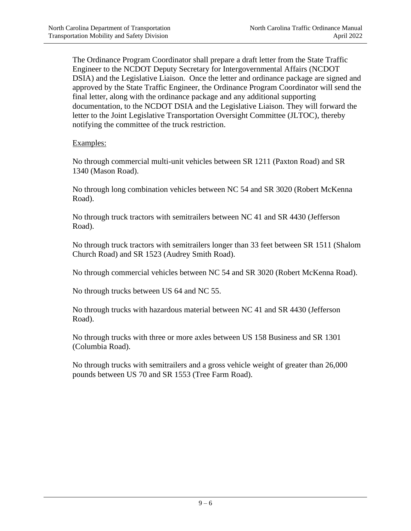The Ordinance Program Coordinator shall prepare a draft letter from the State Traffic Engineer to the NCDOT Deputy Secretary for Intergovernmental Affairs (NCDOT DSIA) and the Legislative Liaison. Once the letter and ordinance package are signed and approved by the State Traffic Engineer, the Ordinance Program Coordinator will send the final letter, along with the ordinance package and any additional supporting documentation, to the NCDOT DSIA and the Legislative Liaison. They will forward the letter to the Joint Legislative Transportation Oversight Committee (JLTOC), thereby notifying the committee of the truck restriction.

## Examples:

No through commercial multi-unit vehicles between SR 1211 (Paxton Road) and SR 1340 (Mason Road).

No through long combination vehicles between NC 54 and SR 3020 (Robert McKenna Road).

No through truck tractors with semitrailers between NC 41 and SR 4430 (Jefferson Road).

No through truck tractors with semitrailers longer than 33 feet between SR 1511 (Shalom Church Road) and SR 1523 (Audrey Smith Road).

No through commercial vehicles between NC 54 and SR 3020 (Robert McKenna Road).

No through trucks between US 64 and NC 55.

No through trucks with hazardous material between NC 41 and SR 4430 (Jefferson Road).

No through trucks with three or more axles between US 158 Business and SR 1301 (Columbia Road).

No through trucks with semitrailers and a gross vehicle weight of greater than 26,000 pounds between US 70 and SR 1553 (Tree Farm Road).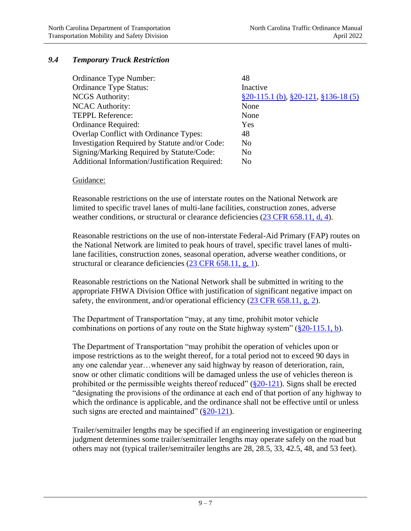## *9.4 Temporary Truck Restriction*

| Ordinance Type Number:                                | 48                                                     |
|-------------------------------------------------------|--------------------------------------------------------|
| <b>Ordinance Type Status:</b>                         | Inactive                                               |
| <b>NCGS</b> Authority:                                | $\S 20 - 115.1$ (b), $\S 20 - 121$ , $\S 136 - 18$ (5) |
| <b>NCAC Authority:</b>                                | None                                                   |
| <b>TEPPL Reference:</b>                               | None                                                   |
| Ordinance Required:                                   | Yes                                                    |
| <b>Overlap Conflict with Ordinance Types:</b>         | 48                                                     |
| Investigation Required by Statute and/or Code:        | N <sub>0</sub>                                         |
| Signing/Marking Required by Statute/Code:             | N <sub>0</sub>                                         |
| <b>Additional Information/Justification Required:</b> | N <sub>0</sub>                                         |

#### Guidance:

Reasonable restrictions on the use of interstate routes on the National Network are limited to specific travel lanes of multi-lane facilities, construction zones, adverse weather conditions, or structural or clearance deficiencies [\(23 CFR 658.11, d, 4\)](http://edocket.access.gpo.gov/cfr_2007/aprqtr/pdf/23cfr658.11.pdf).

Reasonable restrictions on the use of non-interstate Federal-Aid Primary (FAP) routes on the National Network are limited to peak hours of travel, specific travel lanes of multilane facilities, construction zones, seasonal operation, adverse weather conditions, or structural or clearance deficiencies [\(23 CFR 658.11, g, 1\)](http://edocket.access.gpo.gov/cfr_2007/aprqtr/pdf/23cfr658.11.pdf).

Reasonable restrictions on the National Network shall be submitted in writing to the appropriate FHWA Division Office with justification of significant negative impact on safety, the environment, and/or operational efficiency  $(23 \text{ CFR } 658.11, \text{ g}, 2)$ .

The Department of Transportation "may, at any time, prohibit motor vehicle combinations on portions of any route on the State highway system"  $(\frac{820-115.1}{b})$ .

The Department of Transportation "may prohibit the operation of vehicles upon or impose restrictions as to the weight thereof, for a total period not to exceed 90 days in any one calendar year…whenever any said highway by reason of deterioration, rain, snow or other climatic conditions will be damaged unless the use of vehicles thereon is prohibited or the permissible weights thereof reduced"  $(\frac{820-121}{8})$ . Signs shall be erected "designating the provisions of the ordinance at each end of that portion of any highway to which the ordinance is applicable, and the ordinance shall not be effective until or unless such signs are erected and maintained"  $(\frac{820-121}{8})$ .

Trailer/semitrailer lengths may be specified if an engineering investigation or engineering judgment determines some trailer/semitrailer lengths may operate safely on the road but others may not (typical trailer/semitrailer lengths are 28, 28.5, 33, 42.5, 48, and 53 feet).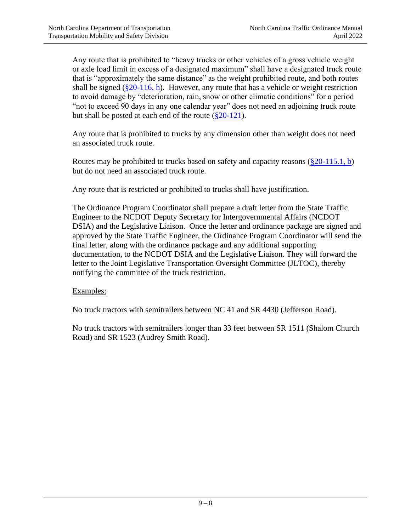Any route that is prohibited to "heavy trucks or other vehicles of a gross vehicle weight or axle load limit in excess of a designated maximum" shall have a designated truck route that is "approximately the same distance" as the weight prohibited route, and both routes shall be signed  $(\frac{820-116}{h})$ . However, any route that has a vehicle or weight restriction to avoid damage by "deterioration, rain, snow or other climatic conditions" for a period "not to exceed 90 days in any one calendar year" does not need an adjoining truck route but shall be posted at each end of the route  $(\frac{8}{20} - 121)$ .

Any route that is prohibited to trucks by any dimension other than weight does not need an associated truck route.

Routes may be prohibited to trucks based on safety and capacity reasons  $(\frac{820-115.1}{b})$ but do not need an associated truck route.

Any route that is restricted or prohibited to trucks shall have justification.

The Ordinance Program Coordinator shall prepare a draft letter from the State Traffic Engineer to the NCDOT Deputy Secretary for Intergovernmental Affairs (NCDOT DSIA) and the Legislative Liaison. Once the letter and ordinance package are signed and approved by the State Traffic Engineer, the Ordinance Program Coordinator will send the final letter, along with the ordinance package and any additional supporting documentation, to the NCDOT DSIA and the Legislative Liaison. They will forward the letter to the Joint Legislative Transportation Oversight Committee (JLTOC), thereby notifying the committee of the truck restriction.

### Examples:

No truck tractors with semitrailers between NC 41 and SR 4430 (Jefferson Road).

No truck tractors with semitrailers longer than 33 feet between SR 1511 (Shalom Church Road) and SR 1523 (Audrey Smith Road).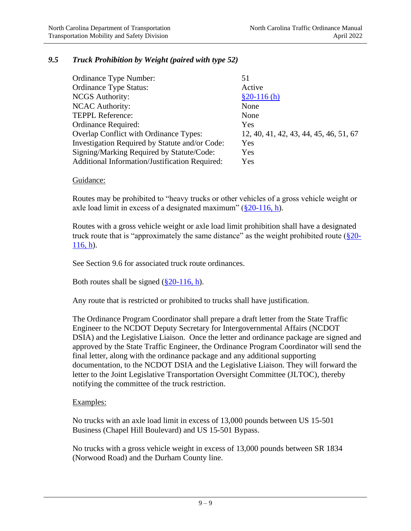## *9.5 Truck Prohibition by Weight (paired with type 52)*

| 51                                     |
|----------------------------------------|
| Active                                 |
| $$20-116(h)$                           |
| None                                   |
| None                                   |
| Yes                                    |
| 12, 40, 41, 42, 43, 44, 45, 46, 51, 67 |
| Yes                                    |
| Yes                                    |
| Yes                                    |
|                                        |

#### Guidance:

Routes may be prohibited to "heavy trucks or other vehicles of a gross vehicle weight or axle load limit in excess of a designated maximum"  $(\frac{820-116}{h})$ .

Routes with a gross vehicle weight or axle load limit prohibition shall have a designated truck route that is "approximately the same distance" as the weight prohibited route  $(\frac{8}{20} -$ [116, h\)](http://www.ncleg.net/gascripts/statutes/statutelookup.pl?statute=20-116).

See Section 9.6 for associated truck route ordinances.

Both routes shall be signed  $(\frac{820-116}{h})$ .

Any route that is restricted or prohibited to trucks shall have justification.

The Ordinance Program Coordinator shall prepare a draft letter from the State Traffic Engineer to the NCDOT Deputy Secretary for Intergovernmental Affairs (NCDOT DSIA) and the Legislative Liaison. Once the letter and ordinance package are signed and approved by the State Traffic Engineer, the Ordinance Program Coordinator will send the final letter, along with the ordinance package and any additional supporting documentation, to the NCDOT DSIA and the Legislative Liaison. They will forward the letter to the Joint Legislative Transportation Oversight Committee (JLTOC), thereby notifying the committee of the truck restriction.

### Examples:

No trucks with an axle load limit in excess of 13,000 pounds between US 15-501 Business (Chapel Hill Boulevard) and US 15-501 Bypass.

No trucks with a gross vehicle weight in excess of 13,000 pounds between SR 1834 (Norwood Road) and the Durham County line.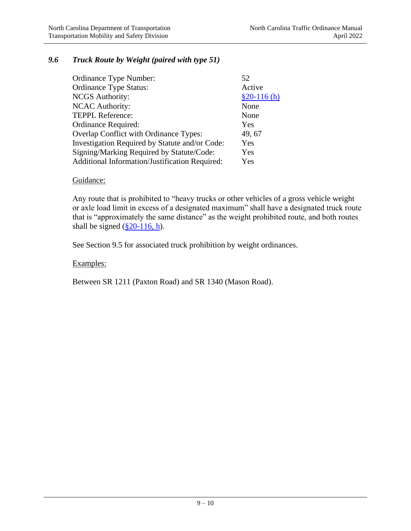## *9.6 Truck Route by Weight (paired with type 51)*

| Ordinance Type Number:                         | 52           |
|------------------------------------------------|--------------|
| <b>Ordinance Type Status:</b>                  | Active       |
| <b>NCGS</b> Authority:                         | $$20-116(h)$ |
| <b>NCAC Authority:</b>                         | None         |
| <b>TEPPL Reference:</b>                        | None         |
| Ordinance Required:                            | Yes          |
| Overlap Conflict with Ordinance Types:         | 49, 67       |
| Investigation Required by Statute and/or Code: | Yes          |
| Signing/Marking Required by Statute/Code:      | Yes          |
| Additional Information/Justification Required: | Yes          |

#### Guidance:

Any route that is prohibited to "heavy trucks or other vehicles of a gross vehicle weight or axle load limit in excess of a designated maximum" shall have a designated truck route that is "approximately the same distance" as the weight prohibited route, and both routes shall be signed  $(\frac{\$20-116}{h})$ .

See Section 9.5 for associated truck prohibition by weight ordinances.

### Examples:

Between SR 1211 (Paxton Road) and SR 1340 (Mason Road).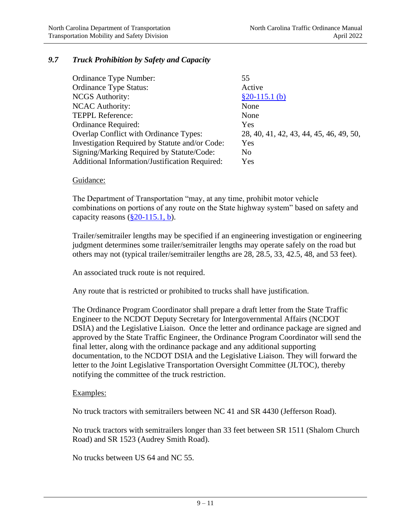## *9.7 Truck Prohibition by Safety and Capacity*

| Ordinance Type Number:                         | 55                                      |
|------------------------------------------------|-----------------------------------------|
| <b>Ordinance Type Status:</b>                  | Active                                  |
| <b>NCGS</b> Authority:                         | $$20-115.1$ (b)                         |
| <b>NCAC Authority:</b>                         | None                                    |
| <b>TEPPL Reference:</b>                        | None                                    |
| <b>Ordinance Required:</b>                     | Yes                                     |
| Overlap Conflict with Ordinance Types:         | 28, 40, 41, 42, 43, 44, 45, 46, 49, 50, |
| Investigation Required by Statute and/or Code: | Yes                                     |
| Signing/Marking Required by Statute/Code:      | N <sub>0</sub>                          |
| Additional Information/Justification Required: | Yes                                     |

#### Guidance:

The Department of Transportation "may, at any time, prohibit motor vehicle combinations on portions of any route on the State highway system" based on safety and capacity reasons  $(\S 20-115.1, b)$ .

Trailer/semitrailer lengths may be specified if an engineering investigation or engineering judgment determines some trailer/semitrailer lengths may operate safely on the road but others may not (typical trailer/semitrailer lengths are 28, 28.5, 33, 42.5, 48, and 53 feet).

An associated truck route is not required.

Any route that is restricted or prohibited to trucks shall have justification.

The Ordinance Program Coordinator shall prepare a draft letter from the State Traffic Engineer to the NCDOT Deputy Secretary for Intergovernmental Affairs (NCDOT DSIA) and the Legislative Liaison. Once the letter and ordinance package are signed and approved by the State Traffic Engineer, the Ordinance Program Coordinator will send the final letter, along with the ordinance package and any additional supporting documentation, to the NCDOT DSIA and the Legislative Liaison. They will forward the letter to the Joint Legislative Transportation Oversight Committee (JLTOC), thereby notifying the committee of the truck restriction.

#### Examples:

No truck tractors with semitrailers between NC 41 and SR 4430 (Jefferson Road).

No truck tractors with semitrailers longer than 33 feet between SR 1511 (Shalom Church Road) and SR 1523 (Audrey Smith Road).

No trucks between US 64 and NC 55.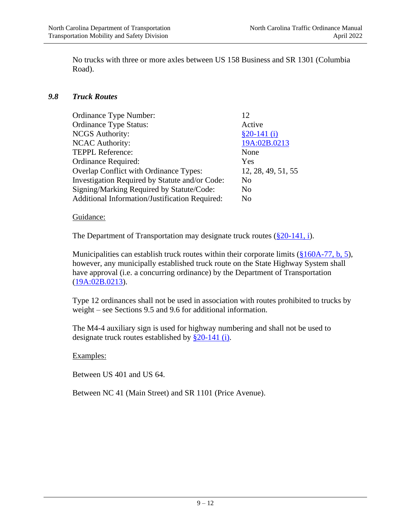No trucks with three or more axles between US 158 Business and SR 1301 (Columbia Road).

### *9.8 Truck Routes*

| 12                 |
|--------------------|
| Active             |
| $$20-141(i)$       |
| 19A:02B.0213       |
| None               |
| Yes                |
| 12, 28, 49, 51, 55 |
| No                 |
| No                 |
| No                 |
|                    |

#### Guidance:

The Department of Transportation may designate truck routes  $(\frac{820-141}{1})$ .

Municipalities can establish truck routes within their corporate limits [\(§160A-77, b, 5\)](http://www.ncleg.net/gascripts/statutes/statutelookup.pl?statute=160A-77), however, any municipally established truck route on the State Highway System shall have approval (i.e. a concurring ordinance) by the Department of Transportation [\(19A:02B.0213\)](http://reports.oah.state.nc.us/ncac/title%2019a%20-%20transportation/chapter%2002%20-%20division%20of%20highways/subchapter%20b/19a%20ncac%2002b%20.0213.html).

Type 12 ordinances shall not be used in association with routes prohibited to trucks by weight – see Sections 9.5 and 9.6 for additional information.

The M4-4 auxiliary sign is used for highway numbering and shall not be used to designate truck routes established by [§20-141](http://www.ncleg.net/gascripts/statutes/statutelookup.pl?statute=20-141) (i).

#### Examples:

Between US 401 and US 64.

Between NC 41 (Main Street) and SR 1101 (Price Avenue).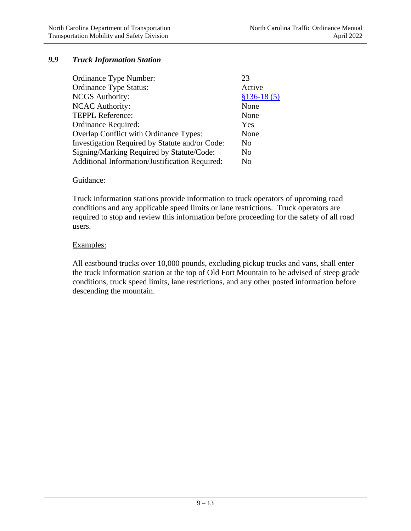## *9.9 Truck Information Station*

| Ordinance Type Number:                         | 23             |
|------------------------------------------------|----------------|
| <b>Ordinance Type Status:</b>                  | Active         |
| <b>NCGS</b> Authority:                         | $$136-18(5)$   |
| <b>NCAC Authority:</b>                         | None           |
| TEPPL Reference:                               | None           |
| Ordinance Required:                            | Yes            |
| Overlap Conflict with Ordinance Types:         | None           |
| Investigation Required by Statute and/or Code: | No.            |
| Signing/Marking Required by Statute/Code:      | No             |
| Additional Information/Justification Required: | N <sub>0</sub> |

#### Guidance:

Truck information stations provide information to truck operators of upcoming road conditions and any applicable speed limits or lane restrictions. Truck operators are required to stop and review this information before proceeding for the safety of all road users.

#### Examples:

All eastbound trucks over 10,000 pounds, excluding pickup trucks and vans, shall enter the truck information station at the top of Old Fort Mountain to be advised of steep grade conditions, truck speed limits, lane restrictions, and any other posted information before descending the mountain.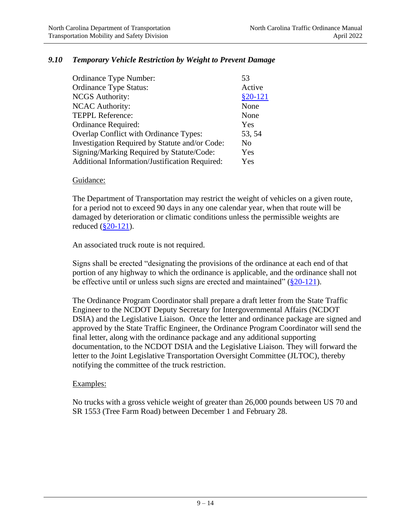### *9.10 Temporary Vehicle Restriction by Weight to Prevent Damage*

| Ordinance Type Number:                         | 53        |
|------------------------------------------------|-----------|
| <b>Ordinance Type Status:</b>                  | Active    |
| <b>NCGS</b> Authority:                         | $$20-121$ |
| <b>NCAC Authority:</b>                         | None      |
| <b>TEPPL Reference:</b>                        | None      |
| Ordinance Required:                            | Yes       |
| Overlap Conflict with Ordinance Types:         | 53, 54    |
| Investigation Required by Statute and/or Code: | No        |
| Signing/Marking Required by Statute/Code:      | Yes       |
| Additional Information/Justification Required: | Yes       |

#### Guidance:

The Department of Transportation may restrict the weight of vehicles on a given route, for a period not to exceed 90 days in any one calendar year, when that route will be damaged by deterioration or climatic conditions unless the permissible weights are reduced [\(§20-121\)](http://www.ncleg.net/gascripts/statutes/statutelookup.pl?statute=20-121).

An associated truck route is not required.

Signs shall be erected "designating the provisions of the ordinance at each end of that portion of any highway to which the ordinance is applicable, and the ordinance shall not be effective until or unless such signs are erected and maintained"  $(\S 20-121)$ .

The Ordinance Program Coordinator shall prepare a draft letter from the State Traffic Engineer to the NCDOT Deputy Secretary for Intergovernmental Affairs (NCDOT DSIA) and the Legislative Liaison. Once the letter and ordinance package are signed and approved by the State Traffic Engineer, the Ordinance Program Coordinator will send the final letter, along with the ordinance package and any additional supporting documentation, to the NCDOT DSIA and the Legislative Liaison. They will forward the letter to the Joint Legislative Transportation Oversight Committee (JLTOC), thereby notifying the committee of the truck restriction.

### Examples:

No trucks with a gross vehicle weight of greater than 26,000 pounds between US 70 and SR 1553 (Tree Farm Road) between December 1 and February 28.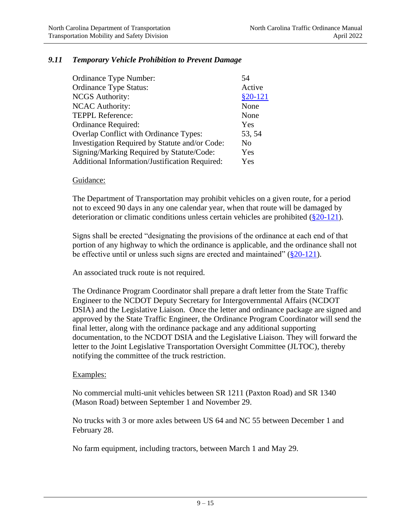## *9.11 Temporary Vehicle Prohibition to Prevent Damage*

| Ordinance Type Number:                         | 54        |
|------------------------------------------------|-----------|
| <b>Ordinance Type Status:</b>                  | Active    |
| <b>NCGS</b> Authority:                         | $$20-121$ |
| <b>NCAC Authority:</b>                         | None      |
| <b>TEPPL Reference:</b>                        | None      |
| Ordinance Required:                            | Yes       |
| Overlap Conflict with Ordinance Types:         | 53, 54    |
| Investigation Required by Statute and/or Code: | No        |
| Signing/Marking Required by Statute/Code:      | Yes       |
| Additional Information/Justification Required: | Yes       |

#### Guidance:

The Department of Transportation may prohibit vehicles on a given route, for a period not to exceed 90 days in any one calendar year, when that route will be damaged by deterioration or climatic conditions unless certain vehicles are prohibited  $(\frac{820-121}{8})$ .

Signs shall be erected "designating the provisions of the ordinance at each end of that portion of any highway to which the ordinance is applicable, and the ordinance shall not be effective until or unless such signs are erected and maintained"  $(\S 20-121)$ .

An associated truck route is not required.

The Ordinance Program Coordinator shall prepare a draft letter from the State Traffic Engineer to the NCDOT Deputy Secretary for Intergovernmental Affairs (NCDOT DSIA) and the Legislative Liaison. Once the letter and ordinance package are signed and approved by the State Traffic Engineer, the Ordinance Program Coordinator will send the final letter, along with the ordinance package and any additional supporting documentation, to the NCDOT DSIA and the Legislative Liaison. They will forward the letter to the Joint Legislative Transportation Oversight Committee (JLTOC), thereby notifying the committee of the truck restriction.

#### Examples:

No commercial multi-unit vehicles between SR 1211 (Paxton Road) and SR 1340 (Mason Road) between September 1 and November 29.

No trucks with 3 or more axles between US 64 and NC 55 between December 1 and February 28.

No farm equipment, including tractors, between March 1 and May 29.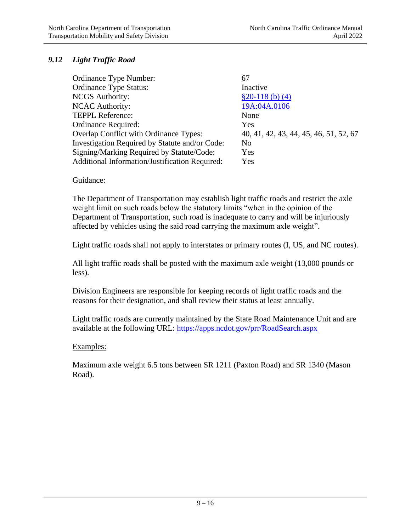## *9.12 Light Traffic Road*

| Ordinance Type Number:                         | 67                                     |
|------------------------------------------------|----------------------------------------|
| <b>Ordinance Type Status:</b>                  | Inactive                               |
| <b>NCGS</b> Authority:                         | $$20-118$ (b) (4)                      |
| <b>NCAC Authority:</b>                         | 19A:04A.0106                           |
| <b>TEPPL Reference:</b>                        | None                                   |
| Ordinance Required:                            | Yes                                    |
| Overlap Conflict with Ordinance Types:         | 40, 41, 42, 43, 44, 45, 46, 51, 52, 67 |
| Investigation Required by Statute and/or Code: | N <sub>0</sub>                         |
| Signing/Marking Required by Statute/Code:      | Yes                                    |
| Additional Information/Justification Required: | Yes                                    |

### Guidance:

The Department of Transportation may establish light traffic roads and restrict the axle weight limit on such roads below the statutory limits "when in the opinion of the Department of Transportation, such road is inadequate to carry and will be injuriously affected by vehicles using the said road carrying the maximum axle weight".

Light traffic roads shall not apply to interstates or primary routes (I, US, and NC routes).

All light traffic roads shall be posted with the maximum axle weight (13,000 pounds or less).

Division Engineers are responsible for keeping records of light traffic roads and the reasons for their designation, and shall review their status at least annually.

Light traffic roads are currently maintained by the State Road Maintenance Unit and are available at the following URL:<https://apps.ncdot.gov/prr/RoadSearch.aspx>

### Examples:

Maximum axle weight 6.5 tons between SR 1211 (Paxton Road) and SR 1340 (Mason Road).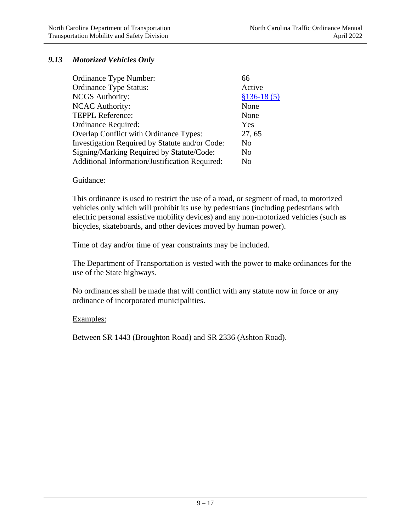## *9.13 Motorized Vehicles Only*

| 66           |
|--------------|
| Active       |
| $$136-18(5)$ |
| None         |
| None         |
| Yes          |
| 27, 65       |
| No           |
| No           |
| No           |
|              |

#### Guidance:

This ordinance is used to restrict the use of a road, or segment of road, to motorized vehicles only which will prohibit its use by pedestrians (including pedestrians with electric personal assistive mobility devices) and any non-motorized vehicles (such as bicycles, skateboards, and other devices moved by human power).

Time of day and/or time of year constraints may be included.

The Department of Transportation is vested with the power to make ordinances for the use of the State highways.

No ordinances shall be made that will conflict with any statute now in force or any ordinance of incorporated municipalities.

### Examples:

Between SR 1443 (Broughton Road) and SR 2336 (Ashton Road).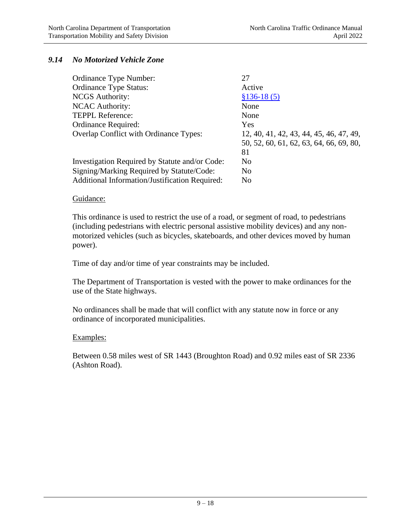## *9.14 No Motorized Vehicle Zone*

| Ordinance Type Number:                                | 27                                      |
|-------------------------------------------------------|-----------------------------------------|
| <b>Ordinance Type Status:</b>                         | Active                                  |
| <b>NCGS</b> Authority:                                | $$136-18(5)$                            |
| <b>NCAC Authority:</b>                                | None                                    |
| <b>TEPPL Reference:</b>                               | None                                    |
| Ordinance Required:                                   | Yes                                     |
| <b>Overlap Conflict with Ordinance Types:</b>         | 12, 40, 41, 42, 43, 44, 45, 46, 47, 49, |
|                                                       | 50, 52, 60, 61, 62, 63, 64, 66, 69, 80, |
|                                                       | 81                                      |
| Investigation Required by Statute and/or Code:        | N <sub>0</sub>                          |
| Signing/Marking Required by Statute/Code:             | N <sub>0</sub>                          |
| <b>Additional Information/Justification Required:</b> | N <sub>0</sub>                          |

#### Guidance:

This ordinance is used to restrict the use of a road, or segment of road, to pedestrians (including pedestrians with electric personal assistive mobility devices) and any nonmotorized vehicles (such as bicycles, skateboards, and other devices moved by human power).

Time of day and/or time of year constraints may be included.

The Department of Transportation is vested with the power to make ordinances for the use of the State highways.

No ordinances shall be made that will conflict with any statute now in force or any ordinance of incorporated municipalities.

#### Examples:

Between 0.58 miles west of SR 1443 (Broughton Road) and 0.92 miles east of SR 2336 (Ashton Road).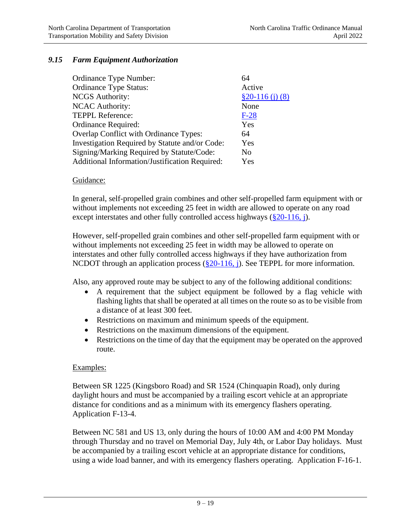### *9.15 Farm Equipment Authorization*

| Ordinance Type Number:                         | 64                |
|------------------------------------------------|-------------------|
| <b>Ordinance Type Status:</b>                  | Active            |
| <b>NCGS</b> Authority:                         | $$20-116$ (i) (8) |
| <b>NCAC Authority:</b>                         | None              |
| <b>TEPPL Reference:</b>                        | $F-28$            |
| Ordinance Required:                            | Yes               |
| Overlap Conflict with Ordinance Types:         | 64                |
| Investigation Required by Statute and/or Code: | Yes               |
| Signing/Marking Required by Statute/Code:      | No                |
| Additional Information/Justification Required: | Yes               |

#### Guidance:

In general, self-propelled grain combines and other self-propelled farm equipment with or without implements not exceeding 25 feet in width are allowed to operate on any road except interstates and other fully controlled access highways  $(\frac{820-116}{1})$ .

However, self-propelled grain combines and other self-propelled farm equipment with or without implements not exceeding 25 feet in width may be allowed to operate on interstates and other fully controlled access highways if they have authorization from NCDOT through an application process [\(§20-116, j\)](http://www.ncleg.net/gascripts/statutes/statutelookup.pl?statute=20-116). See TEPPL for more information.

Also, any approved route may be subject to any of the following additional conditions:

- A requirement that the subject equipment be followed by a flag vehicle with flashing lights that shall be operated at all times on the route so as to be visible from a distance of at least 300 feet.
- Restrictions on maximum and minimum speeds of the equipment.
- Restrictions on the maximum dimensions of the equipment.
- Restrictions on the time of day that the equipment may be operated on the approved route.

#### Examples:

Between SR 1225 (Kingsboro Road) and SR 1524 (Chinquapin Road), only during daylight hours and must be accompanied by a trailing escort vehicle at an appropriate distance for conditions and as a minimum with its emergency flashers operating. Application F-13-4.

Between NC 581 and US 13, only during the hours of 10:00 AM and 4:00 PM Monday through Thursday and no travel on Memorial Day, July 4th, or Labor Day holidays. Must be accompanied by a trailing escort vehicle at an appropriate distance for conditions, using a wide load banner, and with its emergency flashers operating. Application F-16-1.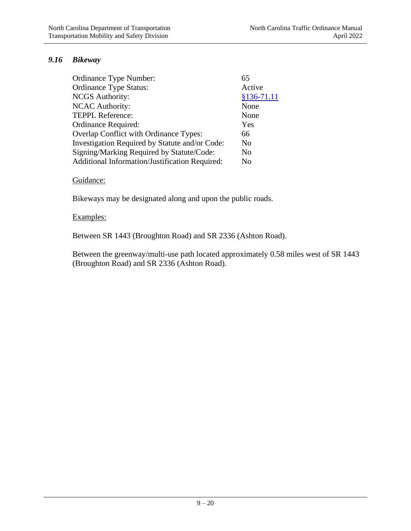## *9.16 Bikeway*

| Ordinance Type Number:                         | 65           |
|------------------------------------------------|--------------|
| <b>Ordinance Type Status:</b>                  | Active       |
| <b>NCGS</b> Authority:                         | $§136-71.11$ |
| <b>NCAC Authority:</b>                         | None         |
| <b>TEPPL Reference:</b>                        | None         |
| Ordinance Required:                            | Yes          |
| Overlap Conflict with Ordinance Types:         | 66           |
| Investigation Required by Statute and/or Code: | No           |
| Signing/Marking Required by Statute/Code:      | No           |
| Additional Information/Justification Required: | No           |

### Guidance:

Bikeways may be designated along and upon the public roads.

#### Examples:

Between SR 1443 (Broughton Road) and SR 2336 (Ashton Road).

Between the greenway/multi-use path located approximately 0.58 miles west of SR 1443 (Broughton Road) and SR 2336 (Ashton Road).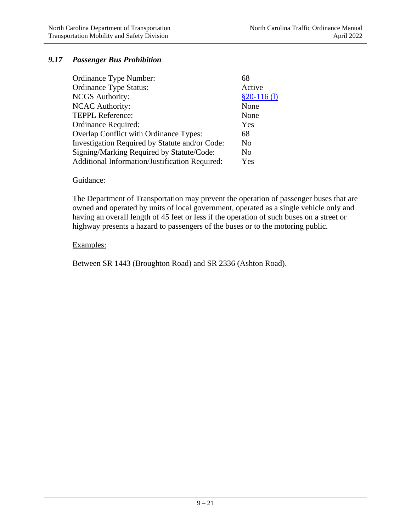## *9.17 Passenger Bus Prohibition*

| Ordinance Type Number:                         |               |
|------------------------------------------------|---------------|
| <b>Ordinance Type Status:</b>                  | Active        |
| <b>NCGS</b> Authority:                         | $$20-116$ (1) |
| <b>NCAC Authority:</b>                         | None          |
| <b>TEPPL Reference:</b>                        | None          |
| Ordinance Required:                            | Yes           |
| <b>Overlap Conflict with Ordinance Types:</b>  | 68            |
| Investigation Required by Statute and/or Code: | No            |
| Signing/Marking Required by Statute/Code:      | No            |
| Additional Information/Justification Required: | Yes           |

#### Guidance:

The Department of Transportation may prevent the operation of passenger buses that are owned and operated by units of local government, operated as a single vehicle only and having an overall length of 45 feet or less if the operation of such buses on a street or highway presents a hazard to passengers of the buses or to the motoring public.

### Examples:

Between SR 1443 (Broughton Road) and SR 2336 (Ashton Road).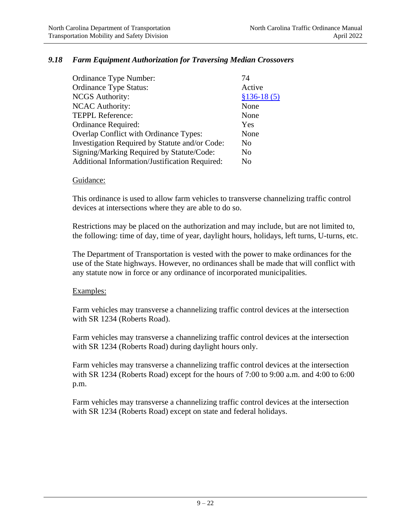### *9.18 Farm Equipment Authorization for Traversing Median Crossovers*

| Ordinance Type Number:                         | 74           |
|------------------------------------------------|--------------|
| <b>Ordinance Type Status:</b>                  | Active       |
| <b>NCGS</b> Authority:                         | $$136-18(5)$ |
| <b>NCAC Authority:</b>                         | None         |
| <b>TEPPL Reference:</b>                        | None         |
| Ordinance Required:                            | Yes          |
| Overlap Conflict with Ordinance Types:         | None         |
| Investigation Required by Statute and/or Code: | No           |
| Signing/Marking Required by Statute/Code:      | No           |
| Additional Information/Justification Required: | No           |

#### Guidance:

This ordinance is used to allow farm vehicles to transverse channelizing traffic control devices at intersections where they are able to do so.

Restrictions may be placed on the authorization and may include, but are not limited to, the following: time of day, time of year, daylight hours, holidays, left turns, U-turns, etc.

The Department of Transportation is vested with the power to make ordinances for the use of the State highways. However, no ordinances shall be made that will conflict with any statute now in force or any ordinance of incorporated municipalities.

#### Examples:

Farm vehicles may transverse a channelizing traffic control devices at the intersection with SR 1234 (Roberts Road).

Farm vehicles may transverse a channelizing traffic control devices at the intersection with SR 1234 (Roberts Road) during daylight hours only.

Farm vehicles may transverse a channelizing traffic control devices at the intersection with SR 1234 (Roberts Road) except for the hours of 7:00 to 9:00 a.m. and 4:00 to 6:00 p.m.

Farm vehicles may transverse a channelizing traffic control devices at the intersection with SR 1234 (Roberts Road) except on state and federal holidays.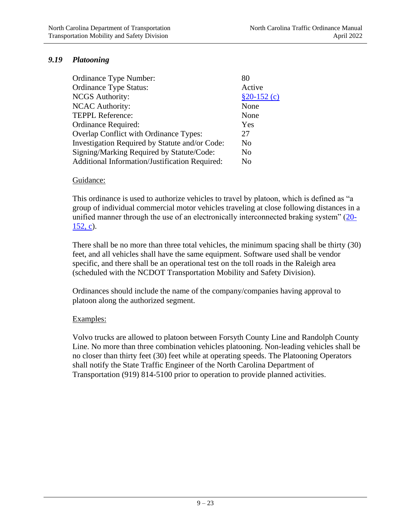## *9.19 Platooning*

| Ordinance Type Number:                         | 80             |
|------------------------------------------------|----------------|
| <b>Ordinance Type Status:</b>                  | Active         |
| <b>NCGS</b> Authority:                         | $$20-152$ (c)  |
| <b>NCAC Authority:</b>                         | None           |
| <b>TEPPL Reference:</b>                        | None           |
| Ordinance Required:                            | Yes            |
| Overlap Conflict with Ordinance Types:         | 27             |
| Investigation Required by Statute and/or Code: | N <sub>0</sub> |
| Signing/Marking Required by Statute/Code:      | N <sub>0</sub> |
| Additional Information/Justification Required: | No             |

#### Guidance:

This ordinance is used to authorize vehicles to travel by platoon, which is defined as "a group of individual commercial motor vehicles traveling at close following distances in a unified manner through the use of an electronically interconnected braking system" [\(20-](http://www.ncleg.net/gascripts/statutes/statutelookup.pl?statute=20-152) [152, c\)](http://www.ncleg.net/gascripts/statutes/statutelookup.pl?statute=20-152).

There shall be no more than three total vehicles, the minimum spacing shall be thirty (30) feet, and all vehicles shall have the same equipment. Software used shall be vendor specific, and there shall be an operational test on the toll roads in the Raleigh area (scheduled with the NCDOT Transportation Mobility and Safety Division).

Ordinances should include the name of the company/companies having approval to platoon along the authorized segment.

### Examples:

Volvo trucks are allowed to platoon between Forsyth County Line and Randolph County Line. No more than three combination vehicles platooning. Non-leading vehicles shall be no closer than thirty feet (30) feet while at operating speeds. The Platooning Operators shall notify the State Traffic Engineer of the North Carolina Department of Transportation (919) 814-5100 prior to operation to provide planned activities.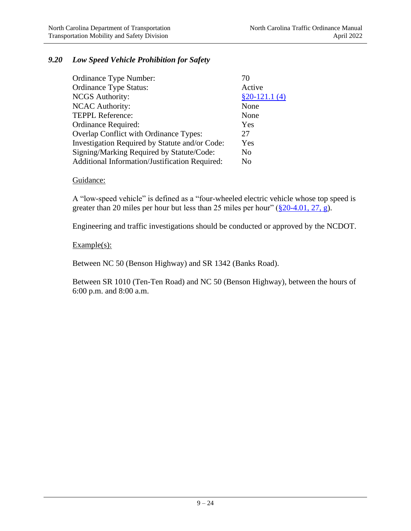## *9.20 Low Speed Vehicle Prohibition for Safety*

| Ordinance Type Number:                         | 70             |
|------------------------------------------------|----------------|
| <b>Ordinance Type Status:</b>                  | Active         |
| <b>NCGS</b> Authority:                         | $$20-121.1(4)$ |
| <b>NCAC Authority:</b>                         | None           |
| <b>TEPPL Reference:</b>                        | None           |
| Ordinance Required:                            | Yes            |
| Overlap Conflict with Ordinance Types:         | 27             |
| Investigation Required by Statute and/or Code: | Yes            |
| Signing/Marking Required by Statute/Code:      | N <sub>0</sub> |
| Additional Information/Justification Required: | N <sub>0</sub> |

#### Guidance:

A "low-speed vehicle" is defined as a "four-wheeled electric vehicle whose top speed is greater than 20 miles per hour but less than 25 miles per hour"  $(\frac{820-4.01}{27}, \frac{27}{8})$ .

Engineering and traffic investigations should be conducted or approved by the NCDOT.

### $Example(s)$ :

Between NC 50 (Benson Highway) and SR 1342 (Banks Road).

Between SR 1010 (Ten-Ten Road) and NC 50 (Benson Highway), between the hours of 6:00 p.m. and 8:00 a.m.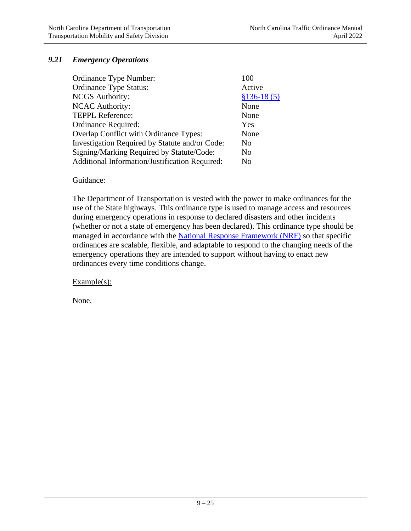## *9.21 Emergency Operations*

| Ordinance Type Number:                         | 100            |
|------------------------------------------------|----------------|
| <b>Ordinance Type Status:</b>                  | Active         |
| <b>NCGS</b> Authority:                         | $$136-18(5)$   |
| <b>NCAC Authority:</b>                         | None           |
| <b>TEPPL Reference:</b>                        | None           |
| Ordinance Required:                            | Yes            |
| Overlap Conflict with Ordinance Types:         | None           |
| Investigation Required by Statute and/or Code: | N <sub>0</sub> |
| Signing/Marking Required by Statute/Code:      | No             |
| Additional Information/Justification Required: | N <sub>0</sub> |

#### Guidance:

The Department of Transportation is vested with the power to make ordinances for the use of the State highways. This ordinance type is used to manage access and resources during emergency operations in response to declared disasters and other incidents (whether or not a state of emergency has been declared). This ordinance type should be managed in accordance with the [National Response Framework \(NRF\)](https://www.gsa.gov/governmentwide-initiatives/emergency-response/the-national-response-plan) so that specific ordinances are scalable, flexible, and adaptable to respond to the changing needs of the emergency operations they are intended to support without having to enact new ordinances every time conditions change.

Example(s):

None.